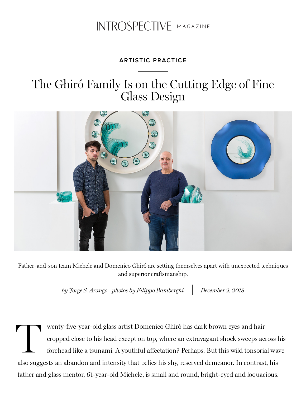## INTROSPECTIVE MAGAZINE

## **ARTISTIC PRACTICE**

## The Ghiró Family Is on the Cutting Edge of Fine Glass Design



Father-and-son team Michele and Domenico Ghiró are setting themselves apart with unexpected techniques and superior craftsmanship.

by Jorge S. Arango | photos by Filippo Bamberghi December 2, 2018

The contract of wenty-five-year-old glass artist Domenico Ghiró has dark brown eyes and hair cropped close to his head except on top, where an extravagant shock sweeps across his forehead like a tsunami. A youthful affectation? Perhaps. But this wild tonsorial wave also suggests an abandon and intensity that belies his shy, reserved demeanor. In contrast, his father and glass mentor, 61-year-old Michele, is small and round, bright-eyed and loquacious.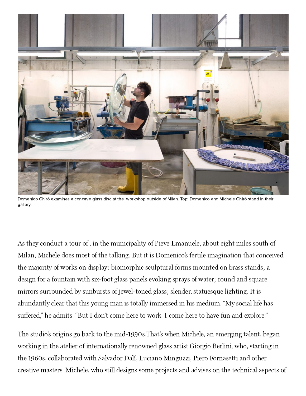

Domenico Ghiró examines a concave glass disc at the workshop outside of Milan. Top: Domenico and Michele Ghiró stand in their gallery.

As they conduct a tour of , in the municipality of Pieve Emanuele, about eight miles south of Milan, Michele does most of the talking. But it is Domenico's fertile imagination that conceived the majority of works on display: biomorphic sculptural forms mounted on brass stands; a design for a fountain with six-foot glass panels evoking sprays of water; round and square mirrors surrounded by sunbursts of jewel-toned glass; slender, statuesque lighting. It is abundantly clear that this young man is totally immersed in his medium. "My social life has suffered," he admits. "But I don't come here to work. I come here to have fun and explore."

The studio's origins go back to the mid-1990s. That's when Michele, an emerging talent, began working in the atelier of internationally renowned glass artist Giorgio Berlini, who, starting in the 1960s, collaborated with [Salvador Dalí](https://www.1stdibs.com/creators/salvador-dali/art/), Luciano Minguzzi, [Piero Fornasetti](https://www.1stdibs.com/creators/fornasetti/furniture/) and other creative masters. Michele, who still designs some projects and advises on the technical aspects of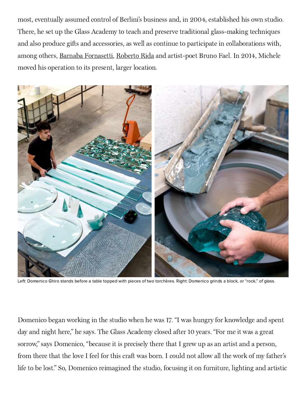most, eventually assumed control of Berlini's business and, in 2004, established his own studio. There, he set up the Glass Academy to teach and preserve traditional glass-making techniques and also produce gifts and accessories, as well as continue to participate in collaborations with, among others, [Barnaba Fornasetti](https://www.1stdibs.com/introspective-magazine/barnaba-fornasetti/), [Roberto Rida](https://www.1stdibs.com/search/furniture/?q=roberto%20rida) and artist-poet Bruno Fael. In 2014, Michele moved his operation to its present, larger location.



Left: Domenico Ghiro stands before a table topped with pieces of two torchères. Right: Domenico grinds a block, or "rock," of glass.

Domenico began working in the studio when he was 17. "I was hungry for knowledge and spent day and night here," he says. The Glass Academy closed after 10 years. "For me it was a great sorrow," says Domenico, "because it is precisely there that I grew up as an artist and a person, from there that the love I feel for this craft was born. I could not allow all the work of my father's life to be lost." So, Domenico reimagined the studio, focusing it on furniture, lighting and artistic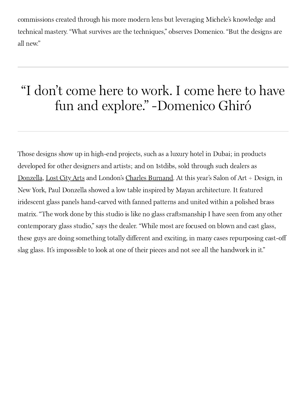commissions created through his more modern lens but leveraging Michele's knowledge and technical mastery. "What survives are the techniques," observes Domenico. "But the designs are all new."

## "I don't come here to work. I come here to have fun and explore." -Domenico Ghiró

Those designs show up in high-end projects, such as a luxury hotel in Dubai; in products developed for other designers and artists; and on 1stdibs, sold through such dealers as [Donzella,](https://www.1stdibs.com/dealers/donzella-ltd/) [Lost City Arts](https://www.1stdibs.com/dealers/lost-city-arts/shop/) and London's [Charles Burnand.](https://www.1stdibs.com/dealers/charles-burnand/) At this year's Salon of Art + Design, in New York, Paul Donzella showed a low table inspired by Mayan architecture. It featured iridescent glass panels hand-carved with fanned patterns and united within a polished brass matrix. "The work done by this studio is like no glass craftsmanship I have seen from any other contemporary glass studio," says the dealer. "While most are focused on blown and cast glass, these guys are doing something totally different and exciting, in many cases repurposing cast-off slag glass. It's impossible to look at one of their pieces and not see all the handwork in it."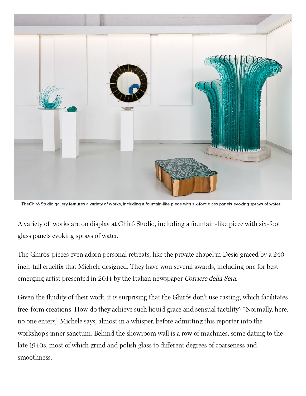

TheGhiró Studio gallery features a variety of works, including a fountain-like piece with six-foot glass panels evoking sprays of water.

A variety of works are on display at Ghiró Studio, including a fountain-like piece with six-foot glass panels evoking sprays of water.

The Ghirós' pieces even adorn personal retreats, like the private chapel in Desio graced by a 240 inch-tall crucifix that Michele designed. They have won several awards, including one for best emerging artist presented in 2014 by the Italian newspaper Corriere della Sera.

Given the fluidity of their work, it is surprising that the Ghirós don't use casting, which facilitates free-form creations. How do they achieve such liquid grace and sensual tactility? "Normally, here, no one enters," Michele says, almost in a whisper, before admitting this reporter into the workshop's inner sanctum. Behind the showroom wall is a row of machines, some dating to the late 1940s, most of which grind and polish glass to different degrees of coarseness and smoothness.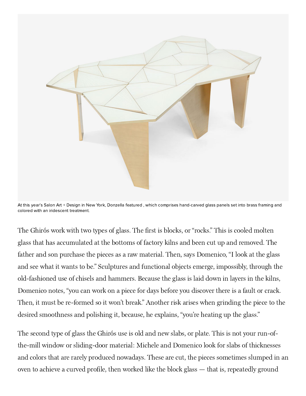

At this year's Salon Art + Design in New York, Donzella featured , which comprises hand-carved glass panels set into brass framing and colored with an iridescent treatment.

The Ghirós work with two types of glass. The first is blocks, or "rocks." This is cooled molten glass that has accumulated at the bottoms of factory kilns and been cut up and removed. The father and son purchase the pieces as a raw material. Then, says Domenico, "I look at the glass and see what it wants to be." Sculptures and functional objects emerge, impossibly, through the old-fashioned use of chisels and hammers. Because the glass is laid down in layers in the kilns, Domenico notes, "you can work on a piece for days before you discover there is a fault or crack. Then, it must be re-formed so it won't break." Another risk arises when grinding the piece to the desired smoothness and polishing it, because, he explains, "you're heating up the glass."

The second type of glass the Ghirós use is old and new slabs, or plate. This is not your run-ofthe-mill window or sliding-door material: Michele and Domenico look for slabs of thicknesses and colors that are rarely produced nowadays. These are cut, the pieces sometimes slumped in an oven to achieve a curved profile, then worked like the block glass — that is, repeatedly ground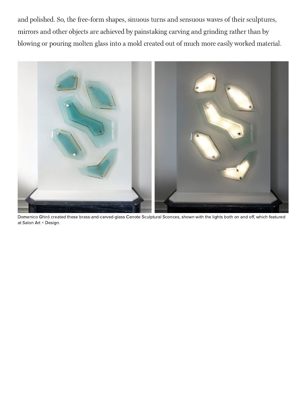and polished. So, the free-form shapes, sinuous turns and sensuous waves of their sculptures, mirrors and other objects are achieved by painstaking carving and grinding rather than by blowing or pouring molten glass into a mold created out of much more easily worked material.



Domenico Ghiró created these brass-and-carved-glass Cenote Sculptural Sconces, shown with the lights both on and off, which featured at Salon Art + Design.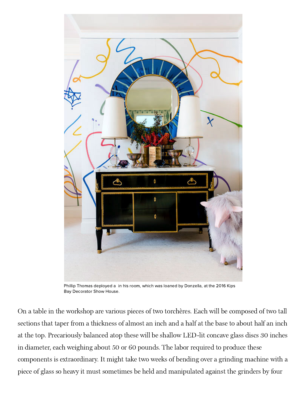

Phillip Thomas deployed a in his room, which was loaned by Donzella, at the 2016 Kips Bay Decorator Show House.

On a table in the workshop are various pieces of two torchères. Each will be composed of two tall sections that taper from a thickness of almost an inch and a half at the base to about half an inch at the top. Precariously balanced atop these will be shallow LED-lit concave glass discs 30 inches in diameter, each weighing about 50 or 60 pounds. The labor required to produce these components is extraordinary. It might take two weeks of bending over a grinding machine with a piece of glass so heavy it must sometimes be held and manipulated against the grinders by four